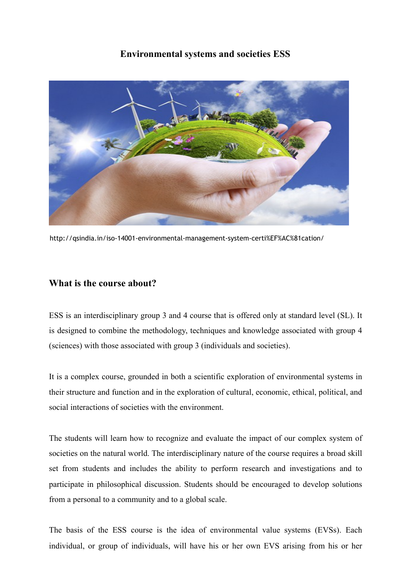# **Environmental systems and societies ESS**



http://qsindia.in/iso-14001-environmental-management-system-certi%EF%AC%81cation/

#### **What is the course about?**

ESS is an interdisciplinary group 3 and 4 course that is offered only at standard level (SL). It is designed to combine the methodology, techniques and knowledge associated with group 4 (sciences) with those associated with group 3 (individuals and societies).

It is a complex course, grounded in both a scientific exploration of environmental systems in their structure and function and in the exploration of cultural, economic, ethical, political, and social interactions of societies with the environment.

The students will learn how to recognize and evaluate the impact of our complex system of societies on the natural world. The interdisciplinary nature of the course requires a broad skill set from students and includes the ability to perform research and investigations and to participate in philosophical discussion. Students should be encouraged to develop solutions from a personal to a community and to a global scale.

The basis of the ESS course is the idea of environmental value systems (EVSs). Each individual, or group of individuals, will have his or her own EVS arising from his or her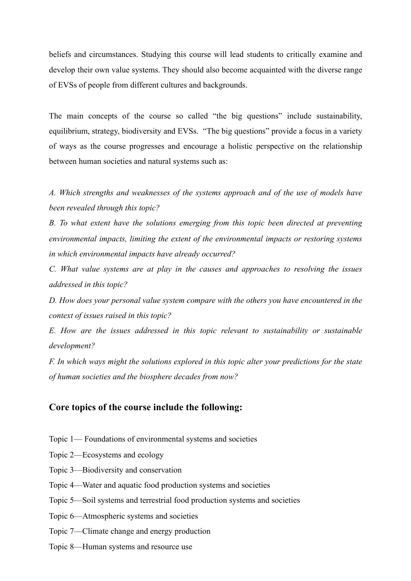beliefs and circumstances. Studying this course will lead students to critically examine and develop their own value systems. They should also become acquainted with the diverse range of EVSs of people from different cultures and backgrounds.

The main concepts of the course so called "the big questions" include sustainability, equilibrium, strategy, biodiversity and EVSs. "The big questions" provide a focus in a variety of ways as the course progresses and encourage a holistic perspective on the relationship between human societies and natural systems such as:

*A. Which strengths and weaknesses of the systems approach and of the use of models have been revealed through this topic?* 

*B. To what extent have the solutions emerging from this topic been directed at preventing environmental impacts, limiting the extent of the environmental impacts or restoring systems in which environmental impacts have already occurred?* 

*C. What value systems are at play in the causes and approaches to resolving the issues addressed in this topic?* 

*D. How does your personal value system compare with the others you have encountered in the context of issues raised in this topic?* 

*E. How are the issues addressed in this topic relevant to sustainability or sustainable development?* 

*F. In which ways might the solutions explored in this topic alter your predictions for the state of human societies and the biosphere decades from now?* 

#### **Core topics of the course include the following:**

- Topic 1— Foundations of environmental systems and societies
- Topic 2—Ecosystems and ecology
- Topic 3—Biodiversity and conservation
- Topic 4—Water and aquatic food production systems and societies
- Topic 5—Soil systems and terrestrial food production systems and societies
- Topic 6—Atmospheric systems and societies
- Topic 7—Climate change and energy production
- Topic 8—Human systems and resource use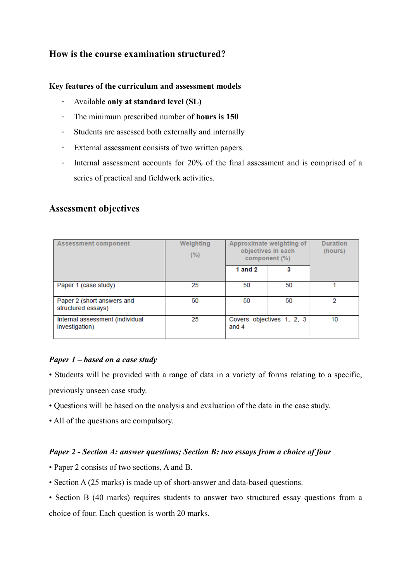# **How is the course examination structured?**

#### **Key features of the curriculum and assessment models**

- Available **only at standard level (SL)**
- The minimum prescribed number of **hours is 150**
- Students are assessed both externally and internally
- External assessment consists of two written papers.
- Internal assessment accounts for 20% of the final assessment and is comprised of a series of practical and fieldwork activities.

## **Assessment objectives**

| <b>Assessment component</b>                       | Weighting<br>(%) | Approximate weighting of<br>objectives in each<br>component (%) |    | <b>Duration</b><br>(hours) |
|---------------------------------------------------|------------------|-----------------------------------------------------------------|----|----------------------------|
|                                                   |                  | 1 and $2$                                                       | з  |                            |
| Paper 1 (case study)                              | 25               | 50                                                              | 50 |                            |
| Paper 2 (short answers and<br>structured essays)  | 50               | 50                                                              | 50 | 2                          |
| Internal assessment (individual<br>investigation) | 25               | Covers objectives 1, 2, 3<br>and 4                              |    | 10                         |

#### *Paper 1 – based on a case study*

- Students will be provided with a range of data in a variety of forms relating to a specific, previously unseen case study.
- 
- Questions will be based on the analysis and evaluation of the data in the case study.
- All of the questions are compulsory.

#### *Paper 2 - Section A: answer questions; Section B: two essays from a choice of four*

- Paper 2 consists of two sections, A and B.
- Section A (25 marks) is made up of short-answer and data-based questions.
- Section B (40 marks) requires students to answer two structured essay questions from a choice of four. Each question is worth 20 marks.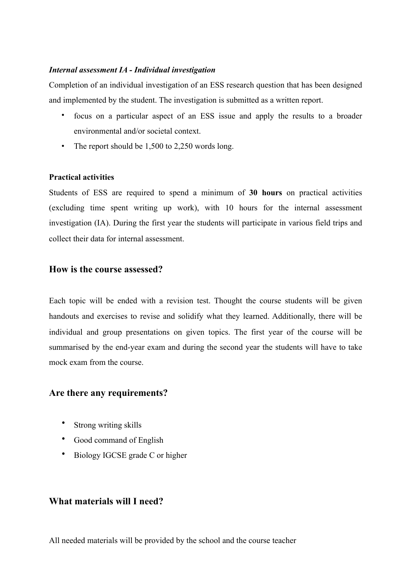#### *Internal assessment IA - Individual investigation*

Completion of an individual investigation of an ESS research question that has been designed and implemented by the student. The investigation is submitted as a written report.

- focus on a particular aspect of an ESS issue and apply the results to a broader environmental and/or societal context.
- The report should be 1,500 to 2,250 words long.

#### **Practical activities**

Students of ESS are required to spend a minimum of **30 hours** on practical activities (excluding time spent writing up work), with 10 hours for the internal assessment investigation (IA). During the first year the students will participate in various field trips and collect their data for internal assessment.

## **How is the course assessed?**

Each topic will be ended with a revision test. Thought the course students will be given handouts and exercises to revise and solidify what they learned. Additionally, there will be individual and group presentations on given topics. The first year of the course will be summarised by the end-year exam and during the second year the students will have to take mock exam from the course.

# **Are there any requirements?**

- Strong writing skills
- Good command of English
- Biology IGCSE grade C or higher

#### **What materials will I need?**

All needed materials will be provided by the school and the course teacher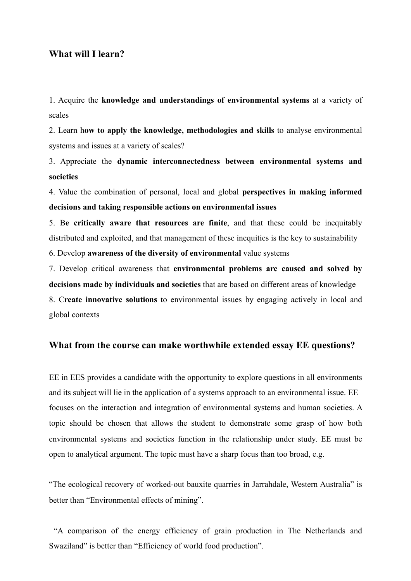## **What will I learn?**

1. Acquire the **knowledge and understandings of environmental systems** at a variety of scales

2. Learn h**ow to apply the knowledge, methodologies and skills** to analyse environmental systems and issues at a variety of scales?

3. Appreciate the **dynamic interconnectedness between environmental systems and societies** 

4. Value the combination of personal, local and global **perspectives in making informed decisions and taking responsible actions on environmental issues** 

5. B**e critically aware that resources are finite**, and that these could be inequitably distributed and exploited, and that management of these inequities is the key to sustainability

6. Develop **awareness of the diversity of environmental** value systems

7. Develop critical awareness that **environmental problems are caused and solved by decisions made by individuals and societies** that are based on different areas of knowledge 8. C**reate innovative solutions** to environmental issues by engaging actively in local and

global contexts

#### **What from the course can make worthwhile extended essay EE questions?**

EE in EES provides a candidate with the opportunity to explore questions in all environments and its subject will lie in the application of a systems approach to an environmental issue. EE focuses on the interaction and integration of environmental systems and human societies. A topic should be chosen that allows the student to demonstrate some grasp of how both environmental systems and societies function in the relationship under study. EE must be open to analytical argument. The topic must have a sharp focus than too broad, e.g.

"The ecological recovery of worked-out bauxite quarries in Jarrahdale, Western Australia" is better than "Environmental effects of mining".

 "A comparison of the energy efficiency of grain production in The Netherlands and Swaziland" is better than "Efficiency of world food production".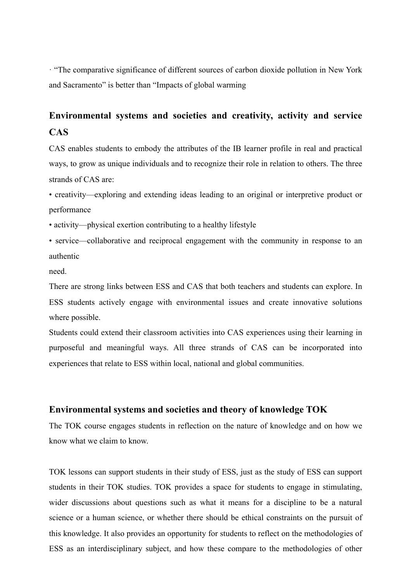· "The comparative significance of different sources of carbon dioxide pollution in New York and Sacramento" is better than "Impacts of global warming

# **Environmental systems and societies and creativity, activity and service CAS**

CAS enables students to embody the attributes of the IB learner profile in real and practical ways, to grow as unique individuals and to recognize their role in relation to others. The three strands of CAS are:

• creativity—exploring and extending ideas leading to an original or interpretive product or performance

• activity—physical exertion contributing to a healthy lifestyle

• service—collaborative and reciprocal engagement with the community in response to an authentic

need.

There are strong links between ESS and CAS that both teachers and students can explore. In ESS students actively engage with environmental issues and create innovative solutions where possible.

Students could extend their classroom activities into CAS experiences using their learning in purposeful and meaningful ways. All three strands of CAS can be incorporated into experiences that relate to ESS within local, national and global communities.

#### **Environmental systems and societies and theory of knowledge TOK**

The TOK course engages students in reflection on the nature of knowledge and on how we know what we claim to know.

TOK lessons can support students in their study of ESS, just as the study of ESS can support students in their TOK studies. TOK provides a space for students to engage in stimulating, wider discussions about questions such as what it means for a discipline to be a natural science or a human science, or whether there should be ethical constraints on the pursuit of this knowledge. It also provides an opportunity for students to reflect on the methodologies of ESS as an interdisciplinary subject, and how these compare to the methodologies of other